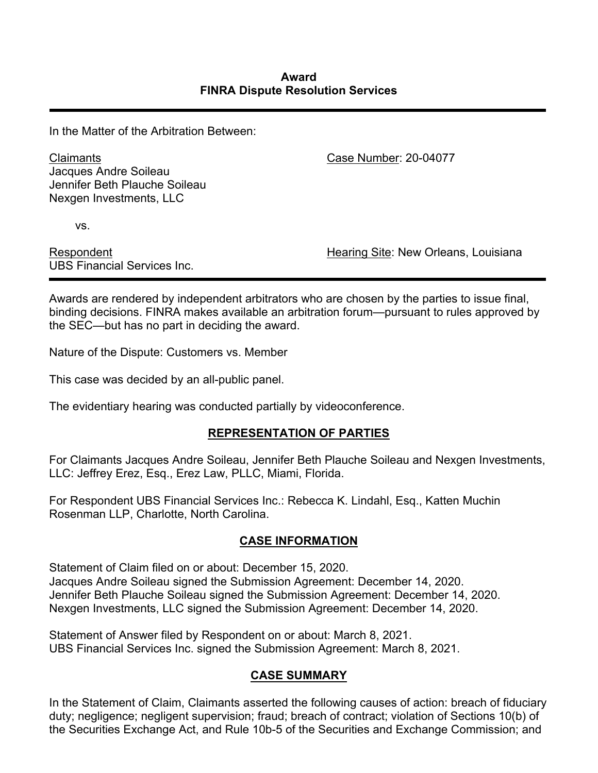In the Matter of the Arbitration Between:

Claimants Jacques Andre Soileau Jennifer Beth Plauche Soileau Nexgen Investments, LLC

Case Number: 20-04077

vs.

Respondent UBS Financial Services Inc. Hearing Site: New Orleans, Louisiana

Awards are rendered by independent arbitrators who are chosen by the parties to issue final, binding decisions. FINRA makes available an arbitration forum—pursuant to rules approved by the SEC—but has no part in deciding the award.

Nature of the Dispute: Customers vs. Member

This case was decided by an all-public panel.

The evidentiary hearing was conducted partially by videoconference.

# **REPRESENTATION OF PARTIES**

For Claimants Jacques Andre Soileau, Jennifer Beth Plauche Soileau and Nexgen Investments, LLC: Jeffrey Erez, Esq., Erez Law, PLLC, Miami, Florida.

For Respondent UBS Financial Services Inc.: Rebecca K. Lindahl, Esq., Katten Muchin Rosenman LLP, Charlotte, North Carolina.

# **CASE INFORMATION**

Statement of Claim filed on or about: December 15, 2020. Jacques Andre Soileau signed the Submission Agreement: December 14, 2020. Jennifer Beth Plauche Soileau signed the Submission Agreement: December 14, 2020. Nexgen Investments, LLC signed the Submission Agreement: December 14, 2020.

Statement of Answer filed by Respondent on or about: March 8, 2021. UBS Financial Services Inc. signed the Submission Agreement: March 8, 2021.

# **CASE SUMMARY**

In the Statement of Claim, Claimants asserted the following causes of action: breach of fiduciary duty; negligence; negligent supervision; fraud; breach of contract; violation of Sections 10(b) of the Securities Exchange Act, and Rule 10b-5 of the Securities and Exchange Commission; and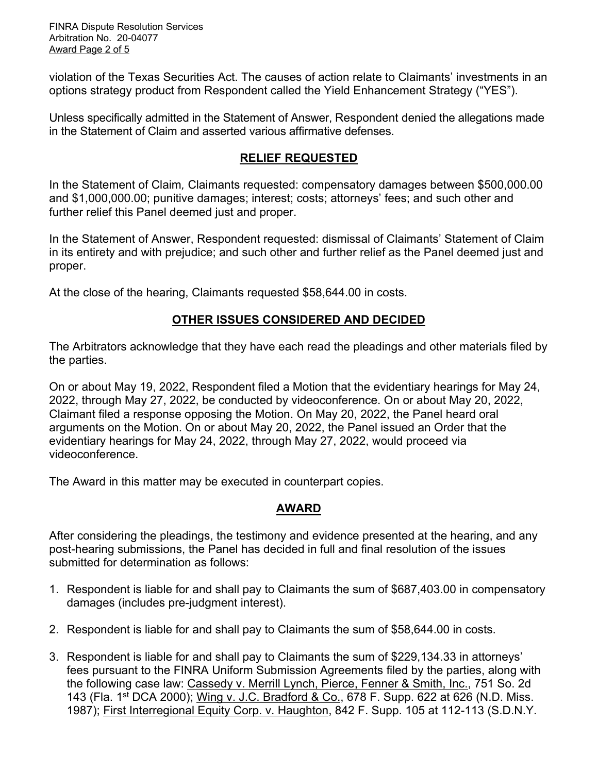FINRA Dispute Resolution Services Arbitration No. 20-04077 Award Page 2 of 5

violation of the Texas Securities Act. The causes of action relate to Claimants' investments in an options strategy product from Respondent called the Yield Enhancement Strategy ("YES").

Unless specifically admitted in the Statement of Answer, Respondent denied the allegations made in the Statement of Claim and asserted various affirmative defenses.

#### **RELIEF REQUESTED**

In the Statement of Claim*,* Claimants requested: compensatory damages between \$500,000.00 and \$1,000,000.00; punitive damages; interest; costs; attorneys' fees; and such other and further relief this Panel deemed just and proper.

In the Statement of Answer, Respondent requested: dismissal of Claimants' Statement of Claim in its entirety and with prejudice; and such other and further relief as the Panel deemed just and proper.

At the close of the hearing, Claimants requested \$58,644.00 in costs.

### **OTHER ISSUES CONSIDERED AND DECIDED**

The Arbitrators acknowledge that they have each read the pleadings and other materials filed by the parties.

On or about May 19, 2022, Respondent filed a Motion that the evidentiary hearings for May 24, 2022, through May 27, 2022, be conducted by videoconference. On or about May 20, 2022, Claimant filed a response opposing the Motion. On May 20, 2022, the Panel heard oral arguments on the Motion. On or about May 20, 2022, the Panel issued an Order that the evidentiary hearings for May 24, 2022, through May 27, 2022, would proceed via videoconference.

The Award in this matter may be executed in counterpart copies.

#### **AWARD**

After considering the pleadings, the testimony and evidence presented at the hearing, and any post-hearing submissions, the Panel has decided in full and final resolution of the issues submitted for determination as follows:

- 1. Respondent is liable for and shall pay to Claimants the sum of \$687,403.00 in compensatory damages (includes pre-judgment interest).
- 2. Respondent is liable for and shall pay to Claimants the sum of \$58,644.00 in costs.
- 3. Respondent is liable for and shall pay to Claimants the sum of \$229,134.33 in attorneys' fees pursuant to the FINRA Uniform Submission Agreements filed by the parties, along with the following case law: Cassedy v. Merrill Lynch, Pierce, Fenner & Smith, Inc., 751 So. 2d 143 (Fla. 1<sup>st</sup> DCA 2000); Wing v. J.C. Bradford & Co., 678 F. Supp. 622 at 626 (N.D. Miss. 1987); First Interregional Equity Corp. v. Haughton, 842 F. Supp. 105 at 112-113 (S.D.N.Y.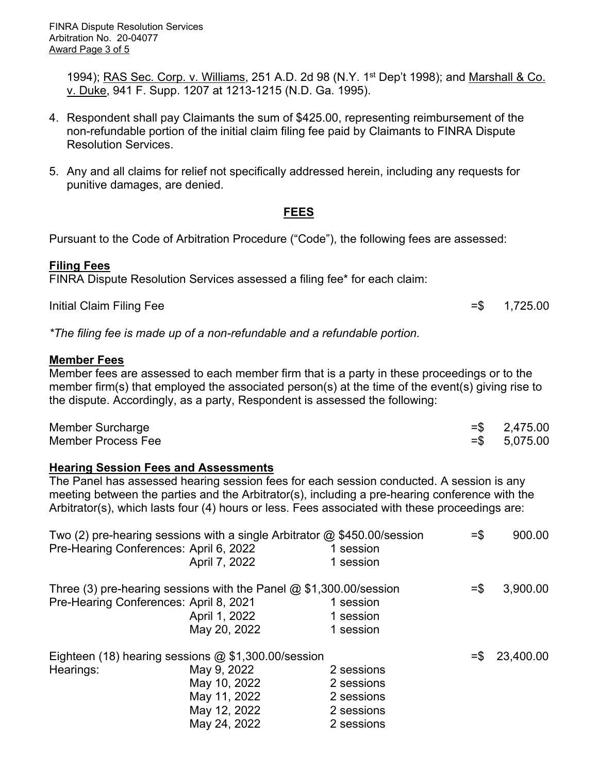1994); RAS Sec. Corp. v. Williams, 251 A.D. 2d 98 (N.Y. 1<sup>st</sup> Dep't 1998); and Marshall & Co. v. Duke, 941 F. Supp. 1207 at 1213-1215 (N.D. Ga. 1995).

- 4. Respondent shall pay Claimants the sum of \$425.00, representing reimbursement of the non-refundable portion of the initial claim filing fee paid by Claimants to FINRA Dispute Resolution Services.
- 5. Any and all claims for relief not specifically addressed herein, including any requests for punitive damages, are denied.

### **FEES**

Pursuant to the Code of Arbitration Procedure ("Code"), the following fees are assessed:

#### **Filing Fees**

FINRA Dispute Resolution Services assessed a filing fee\* for each claim:

Initial Claim Filing Fee  $=$  \$ 1,725.00

*\*The filing fee is made up of a non-refundable and a refundable portion.*

#### **Member Fees**

Member fees are assessed to each member firm that is a party in these proceedings or to the member firm(s) that employed the associated person(s) at the time of the event(s) giving rise to the dispute. Accordingly, as a party, Respondent is assessed the following:

| Member Surcharge   | $=$ \$2,475.00  |
|--------------------|-----------------|
| Member Process Fee | $=$ \$ 5,075.00 |

#### **Hearing Session Fees and Assessments**

The Panel has assessed hearing session fees for each session conducted. A session is any meeting between the parties and the Arbitrator(s), including a pre-hearing conference with the Arbitrator(s), which lasts four (4) hours or less. Fees associated with these proceedings are:

| Two (2) pre-hearing sessions with a single Arbitrator $@$ \$450.00/session |               |            | $=$ \$ | 900.00    |
|----------------------------------------------------------------------------|---------------|------------|--------|-----------|
| Pre-Hearing Conferences: April 6, 2022                                     |               | 1 session  |        |           |
|                                                                            | April 7, 2022 | 1 session  |        |           |
| Three (3) pre-hearing sessions with the Panel $@$ \$1,300.00/session       |               |            |        | 3,900.00  |
| Pre-Hearing Conferences: April 8, 2021                                     |               | 1 session  |        |           |
|                                                                            | April 1, 2022 | 1 session  |        |           |
|                                                                            | May 20, 2022  | 1 session  |        |           |
| Eighteen (18) hearing sessions @ \$1,300.00/session                        |               |            | $=$ \$ | 23,400.00 |
| Hearings:                                                                  | May 9, 2022   | 2 sessions |        |           |
|                                                                            | May 10, 2022  | 2 sessions |        |           |
|                                                                            | May 11, 2022  | 2 sessions |        |           |
|                                                                            | May 12, 2022  | 2 sessions |        |           |
|                                                                            | May 24, 2022  | 2 sessions |        |           |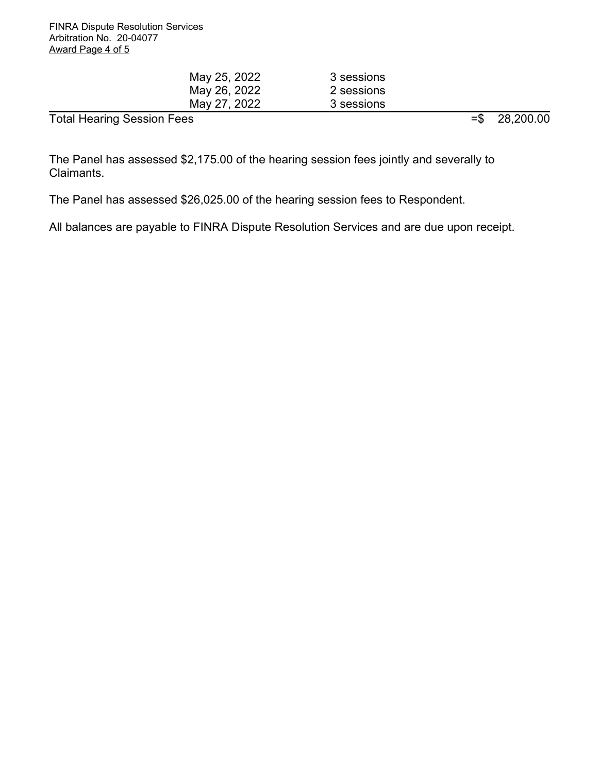| May 25, 2022                      | 3 sessions |                   |           |
|-----------------------------------|------------|-------------------|-----------|
| May 26, 2022                      | 2 sessions |                   |           |
| May 27, 2022                      | 3 sessions |                   |           |
| <b>Total Hearing Session Fees</b> |            | $=$ $\frac{1}{2}$ | 28,200.00 |

The Panel has assessed \$2,175.00 of the hearing session fees jointly and severally to Claimants.

The Panel has assessed \$26,025.00 of the hearing session fees to Respondent.

All balances are payable to FINRA Dispute Resolution Services and are due upon receipt.